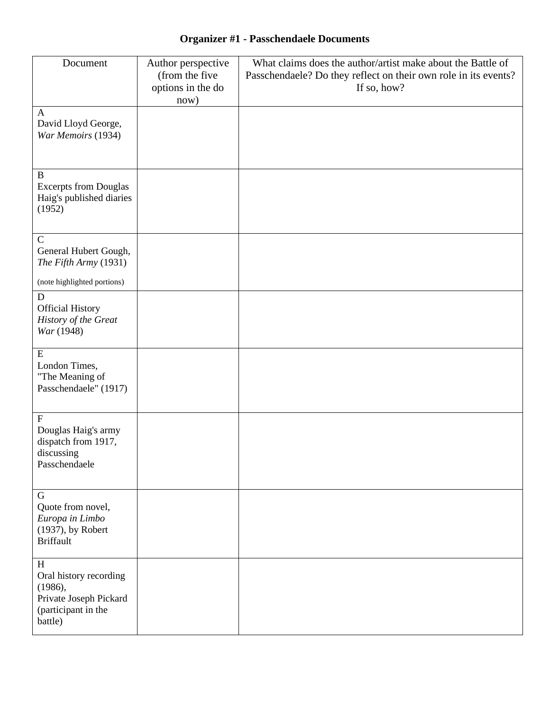# **Organizer #1 - Passchendaele Documents**

| Document                                                                                           | Author perspective<br>(from the five<br>options in the do<br>now) | What claims does the author/artist make about the Battle of<br>Passchendaele? Do they reflect on their own role in its events?<br>If so, how? |
|----------------------------------------------------------------------------------------------------|-------------------------------------------------------------------|-----------------------------------------------------------------------------------------------------------------------------------------------|
| $\mathbf{A}$<br>David Lloyd George,<br>War Memoirs (1934)                                          |                                                                   |                                                                                                                                               |
| B<br><b>Excerpts from Douglas</b><br>Haig's published diaries<br>(1952)                            |                                                                   |                                                                                                                                               |
| $\mathbf C$<br>General Hubert Gough,<br>The Fifth Army (1931)                                      |                                                                   |                                                                                                                                               |
| (note highlighted portions)                                                                        |                                                                   |                                                                                                                                               |
| $\mathbf D$<br><b>Official History</b><br>History of the Great<br>War (1948)                       |                                                                   |                                                                                                                                               |
| ${\bf E}$<br>London Times,<br>"The Meaning of<br>Passchendaele" (1917)                             |                                                                   |                                                                                                                                               |
| $\mathbf F$<br>Douglas Haig's army<br>dispatch from 1917,<br>discussing<br>Passchendaele           |                                                                   |                                                                                                                                               |
| $\mathbf G$<br>Quote from novel,<br>Europa in Limbo<br>(1937), by Robert<br><b>Briffault</b>       |                                                                   |                                                                                                                                               |
| H<br>Oral history recording<br>(1986),<br>Private Joseph Pickard<br>(participant in the<br>battle) |                                                                   |                                                                                                                                               |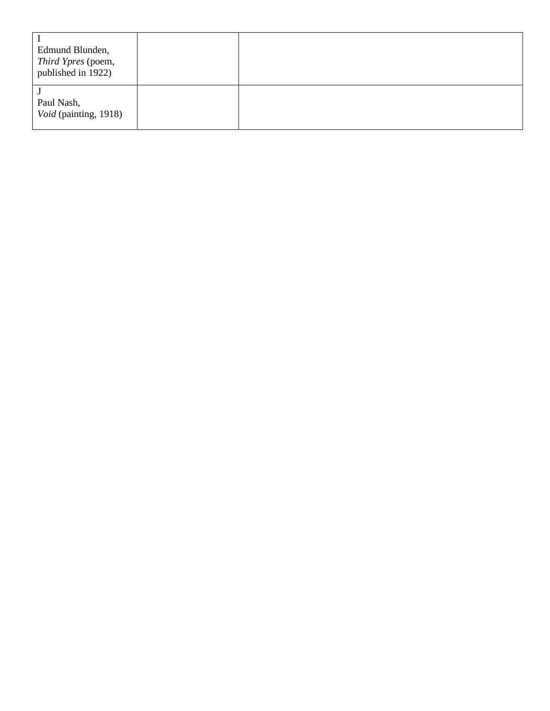| Edmund Blunden,<br>Third Ypres (poem,<br>published in 1922) |  |
|-------------------------------------------------------------|--|
| Paul Nash,<br>Void (painting, 1918)                         |  |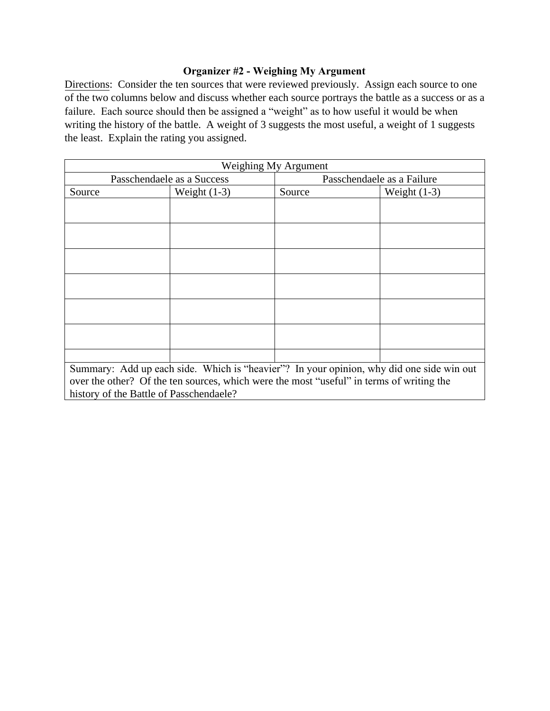## **Organizer #2 - Weighing My Argument**

Directions: Consider the ten sources that were reviewed previously. Assign each source to one of the two columns below and discuss whether each source portrays the battle as a success or as a failure. Each source should then be assigned a "weight" as to how useful it would be when writing the history of the battle. A weight of 3 suggests the most useful, a weight of 1 suggests the least. Explain the rating you assigned.

| Weighing My Argument                                                                     |                |                            |                |  |
|------------------------------------------------------------------------------------------|----------------|----------------------------|----------------|--|
| Passchendaele as a Success                                                               |                | Passchendaele as a Failure |                |  |
| Source                                                                                   | Weight $(1-3)$ | Source                     | Weight $(1-3)$ |  |
|                                                                                          |                |                            |                |  |
|                                                                                          |                |                            |                |  |
|                                                                                          |                |                            |                |  |
|                                                                                          |                |                            |                |  |
|                                                                                          |                |                            |                |  |
|                                                                                          |                |                            |                |  |
|                                                                                          |                |                            |                |  |
|                                                                                          |                |                            |                |  |
|                                                                                          |                |                            |                |  |
|                                                                                          |                |                            |                |  |
|                                                                                          |                |                            |                |  |
|                                                                                          |                |                            |                |  |
|                                                                                          |                |                            |                |  |
| Summary: Add up each side. Which is "heavier"? In your opinion, why did one side win out |                |                            |                |  |
| over the other? Of the ten sources, which were the most "useful" in terms of writing the |                |                            |                |  |
| history of the Battle of Passchendaele?                                                  |                |                            |                |  |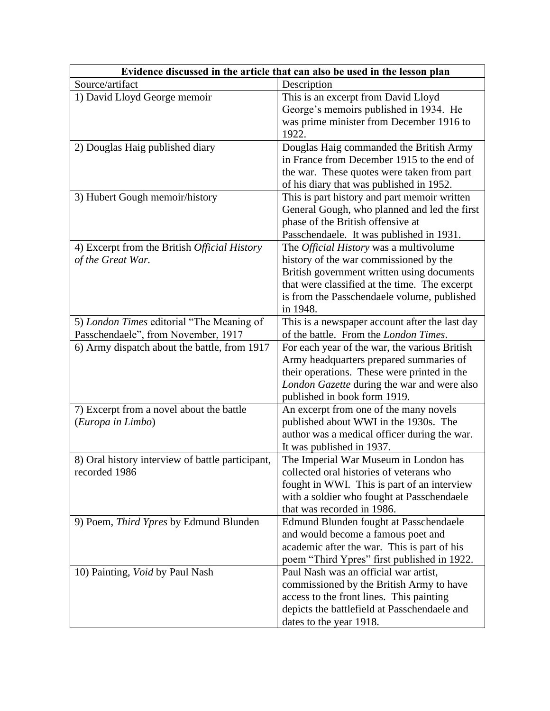| Evidence discussed in the article that can also be used in the lesson plan |                                                                                 |  |  |  |
|----------------------------------------------------------------------------|---------------------------------------------------------------------------------|--|--|--|
| Source/artifact                                                            | Description                                                                     |  |  |  |
| 1) David Lloyd George memoir                                               | This is an excerpt from David Lloyd                                             |  |  |  |
|                                                                            | George's memoirs published in 1934. He                                          |  |  |  |
|                                                                            | was prime minister from December 1916 to                                        |  |  |  |
|                                                                            | 1922.                                                                           |  |  |  |
| 2) Douglas Haig published diary                                            | Douglas Haig commanded the British Army                                         |  |  |  |
|                                                                            | in France from December 1915 to the end of                                      |  |  |  |
|                                                                            | the war. These quotes were taken from part                                      |  |  |  |
|                                                                            | of his diary that was published in 1952.                                        |  |  |  |
| 3) Hubert Gough memoir/history                                             | This is part history and part memoir written                                    |  |  |  |
|                                                                            | General Gough, who planned and led the first                                    |  |  |  |
|                                                                            | phase of the British offensive at                                               |  |  |  |
|                                                                            | Passchendaele. It was published in 1931.                                        |  |  |  |
| 4) Excerpt from the British Official History                               | The <i>Official History</i> was a multivolume                                   |  |  |  |
| of the Great War.                                                          | history of the war commissioned by the                                          |  |  |  |
|                                                                            | British government written using documents                                      |  |  |  |
|                                                                            | that were classified at the time. The excerpt                                   |  |  |  |
|                                                                            | is from the Passchendaele volume, published                                     |  |  |  |
|                                                                            | in 1948.                                                                        |  |  |  |
| 5) London Times editorial "The Meaning of                                  | This is a newspaper account after the last day                                  |  |  |  |
| Passchendaele", from November, 1917                                        | of the battle. From the London Times.                                           |  |  |  |
| 6) Army dispatch about the battle, from 1917                               | For each year of the war, the various British                                   |  |  |  |
|                                                                            | Army headquarters prepared summaries of                                         |  |  |  |
|                                                                            | their operations. These were printed in the                                     |  |  |  |
|                                                                            | London Gazette during the war and were also                                     |  |  |  |
| 7) Excerpt from a novel about the battle                                   | published in book form 1919.                                                    |  |  |  |
| (Europa in Limbo)                                                          | An excerpt from one of the many novels<br>published about WWI in the 1930s. The |  |  |  |
|                                                                            | author was a medical officer during the war.                                    |  |  |  |
|                                                                            | It was published in 1937.                                                       |  |  |  |
| 8) Oral history interview of battle participant,                           | The Imperial War Museum in London has                                           |  |  |  |
| recorded 1986                                                              | collected oral histories of veterans who                                        |  |  |  |
|                                                                            | fought in WWI. This is part of an interview                                     |  |  |  |
|                                                                            | with a soldier who fought at Passchendaele                                      |  |  |  |
|                                                                            | that was recorded in 1986.                                                      |  |  |  |
| 9) Poem, Third Ypres by Edmund Blunden                                     | Edmund Blunden fought at Passchendaele                                          |  |  |  |
|                                                                            | and would become a famous poet and                                              |  |  |  |
|                                                                            | academic after the war. This is part of his                                     |  |  |  |
|                                                                            | poem "Third Ypres" first published in 1922.                                     |  |  |  |
| 10) Painting, <i>Void</i> by Paul Nash                                     | Paul Nash was an official war artist,                                           |  |  |  |
|                                                                            | commissioned by the British Army to have                                        |  |  |  |
|                                                                            | access to the front lines. This painting                                        |  |  |  |
|                                                                            | depicts the battlefield at Passchendaele and                                    |  |  |  |
|                                                                            | dates to the year 1918.                                                         |  |  |  |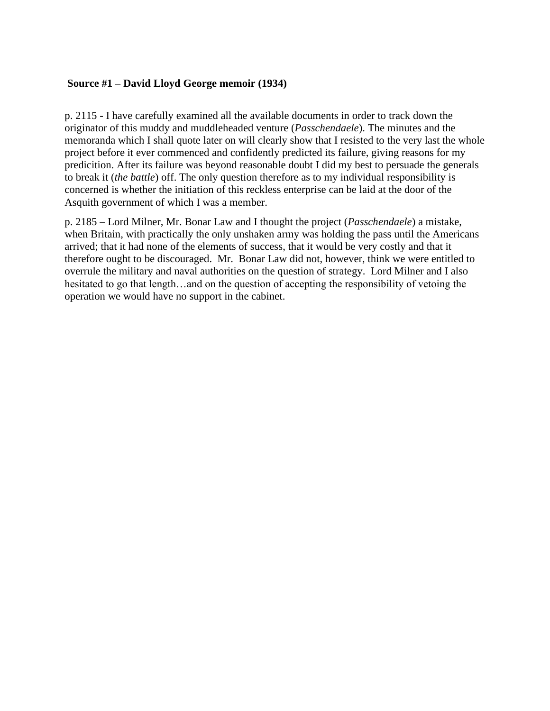### **Source #1 – David Lloyd George memoir (1934)**

p. 2115 - I have carefully examined all the available documents in order to track down the originator of this muddy and muddleheaded venture (*Passchendaele*). The minutes and the memoranda which I shall quote later on will clearly show that I resisted to the very last the whole project before it ever commenced and confidently predicted its failure, giving reasons for my predicition. After its failure was beyond reasonable doubt I did my best to persuade the generals to break it (*the battle*) off. The only question therefore as to my individual responsibility is concerned is whether the initiation of this reckless enterprise can be laid at the door of the Asquith government of which I was a member.

p. 2185 – Lord Milner, Mr. Bonar Law and I thought the project (*Passchendaele*) a mistake, when Britain, with practically the only unshaken army was holding the pass until the Americans arrived; that it had none of the elements of success, that it would be very costly and that it therefore ought to be discouraged. Mr. Bonar Law did not, however, think we were entitled to overrule the military and naval authorities on the question of strategy. Lord Milner and I also hesitated to go that length…and on the question of accepting the responsibility of vetoing the operation we would have no support in the cabinet.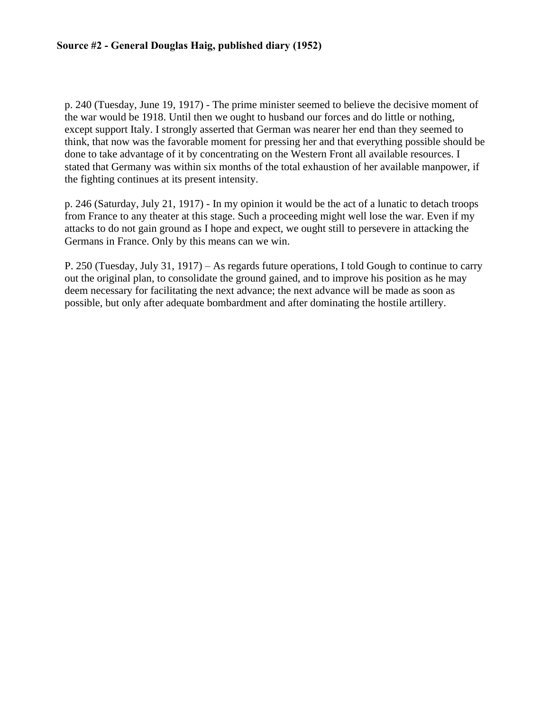p. 240 (Tuesday, June 19, 1917) - The prime minister seemed to believe the decisive moment of the war would be 1918. Until then we ought to husband our forces and do little or nothing, except support Italy. I strongly asserted that German was nearer her end than they seemed to think, that now was the favorable moment for pressing her and that everything possible should be done to take advantage of it by concentrating on the Western Front all available resources. I stated that Germany was within six months of the total exhaustion of her available manpower, if the fighting continues at its present intensity.

p. 246 (Saturday, July 21, 1917) - In my opinion it would be the act of a lunatic to detach troops from France to any theater at this stage. Such a proceeding might well lose the war. Even if my attacks to do not gain ground as I hope and expect, we ought still to persevere in attacking the Germans in France. Only by this means can we win.

P. 250 (Tuesday, July 31, 1917) – As regards future operations, I told Gough to continue to carry out the original plan, to consolidate the ground gained, and to improve his position as he may deem necessary for facilitating the next advance; the next advance will be made as soon as possible, but only after adequate bombardment and after dominating the hostile artillery.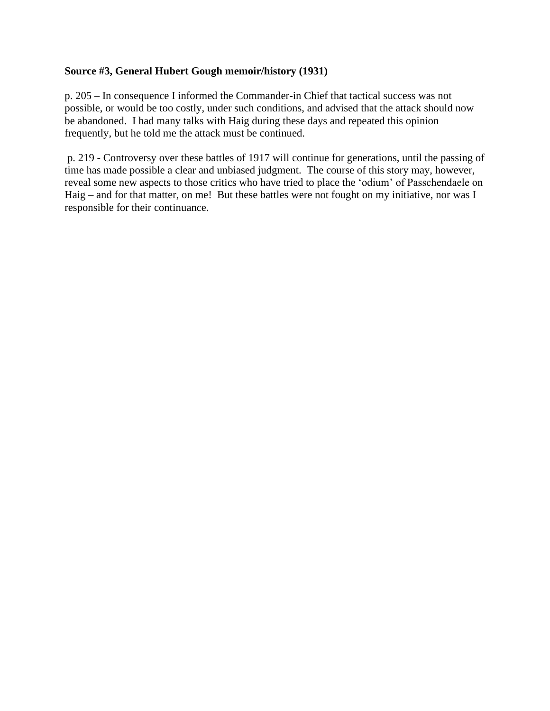### **Source #3, General Hubert Gough memoir/history (1931)**

p. 205 – In consequence I informed the Commander-in Chief that tactical success was not possible, or would be too costly, under such conditions, and advised that the attack should now be abandoned. I had many talks with Haig during these days and repeated this opinion frequently, but he told me the attack must be continued.

p. 219 - Controversy over these battles of 1917 will continue for generations, until the passing of time has made possible a clear and unbiased judgment. The course of this story may, however, reveal some new aspects to those critics who have tried to place the 'odium' of Passchendaele on Haig – and for that matter, on me! But these battles were not fought on my initiative, nor was I responsible for their continuance.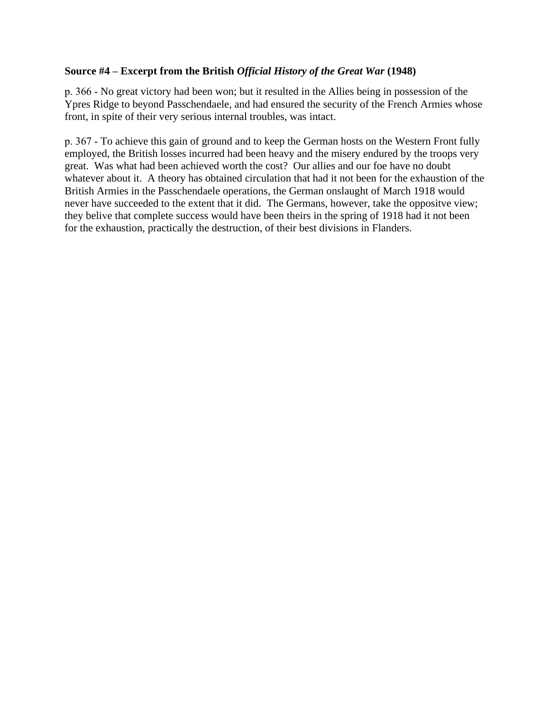## **Source #4 – Excerpt from the British** *Official History of the Great War* **(1948)**

p. 366 - No great victory had been won; but it resulted in the Allies being in possession of the Ypres Ridge to beyond Passchendaele, and had ensured the security of the French Armies whose front, in spite of their very serious internal troubles, was intact.

p. 367 - To achieve this gain of ground and to keep the German hosts on the Western Front fully employed, the British losses incurred had been heavy and the misery endured by the troops very great. Was what had been achieved worth the cost? Our allies and our foe have no doubt whatever about it. A theory has obtained circulation that had it not been for the exhaustion of the British Armies in the Passchendaele operations, the German onslaught of March 1918 would never have succeeded to the extent that it did. The Germans, however, take the oppositve view; they belive that complete success would have been theirs in the spring of 1918 had it not been for the exhaustion, practically the destruction, of their best divisions in Flanders.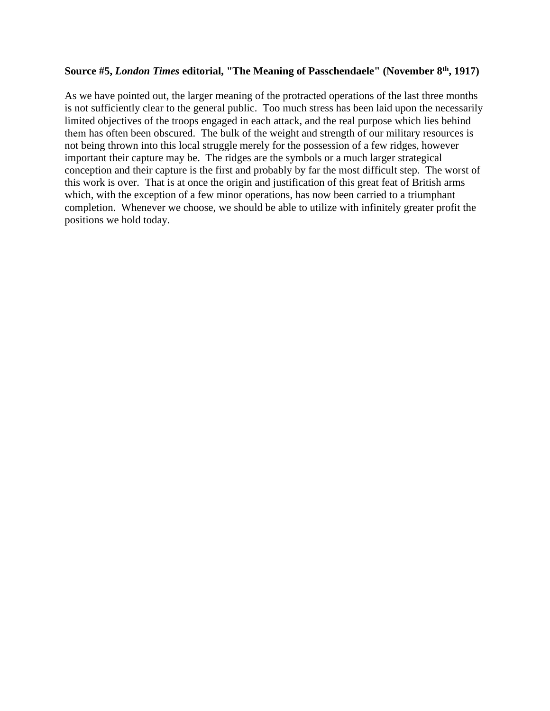#### **Source #5,** *London Times* **editorial, "The Meaning of Passchendaele" (November 8 th, 1917)**

As we have pointed out, the larger meaning of the protracted operations of the last three months is not sufficiently clear to the general public. Too much stress has been laid upon the necessarily limited objectives of the troops engaged in each attack, and the real purpose which lies behind them has often been obscured. The bulk of the weight and strength of our military resources is not being thrown into this local struggle merely for the possession of a few ridges, however important their capture may be. The ridges are the symbols or a much larger strategical conception and their capture is the first and probably by far the most difficult step. The worst of this work is over. That is at once the origin and justification of this great feat of British arms which, with the exception of a few minor operations, has now been carried to a triumphant completion. Whenever we choose, we should be able to utilize with infinitely greater profit the positions we hold today.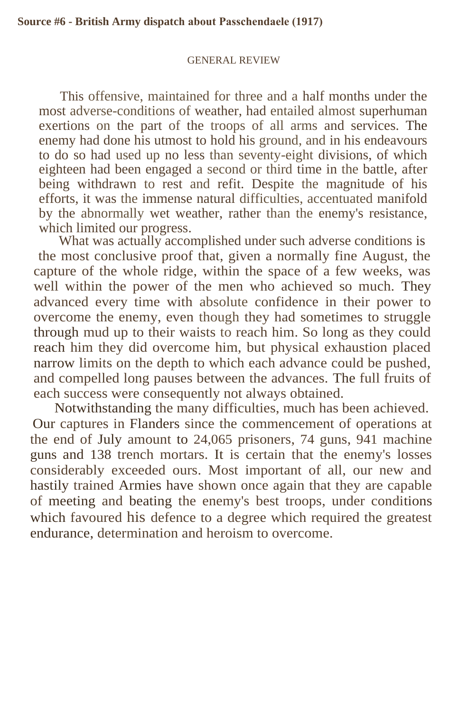#### GENERAL REVIEW

This offensive, maintained for three and a half months under the most adverse-conditions of weather, had entailed almost superhuman exertions on the part of the troops of all arms and services. The enemy had done his utmost to hold his ground, and in his endeavours to do so had used up no less than seventy-eight divisions, of which eighteen had been engaged a second or third time in the battle, after being withdrawn to rest and refit. Despite the magnitude of his efforts, it was the immense natural difficulties, accentuated manifold by the abnormally wet weather, rather than the enemy's resistance, which limited our progress.

What was actually accomplished under such adverse conditions is the most conclusive proof that, given a normally fine August, the capture of the whole ridge, within the space of a few weeks, was well within the power of the men who achieved so much. They advanced every time with absolute confidence in their power to overcome the enemy, even though they had sometimes to struggle through mud up to their waists to reach him. So long as they could reach him they did overcome him, but physical exhaustion placed narrow limits on the depth to which each advance could be pushed, and compelled long pauses between the advances. The full fruits of each success were consequently not always obtained.

Notwithstanding the many difficulties, much has been achieved. Our captures in Flanders since the commencement of operations at the end of July amount to 24,065 prisoners, 74 guns, 941 machine guns and 138 trench mortars. It is certain that the enemy's losses considerably exceeded ours. Most important of all, our new and hastily trained Armies have shown once again that they are capable of meeting and beating the enemy's best troops, under conditions which favoured his defence to a degree which required the greatest endurance, determination and heroism to overcome.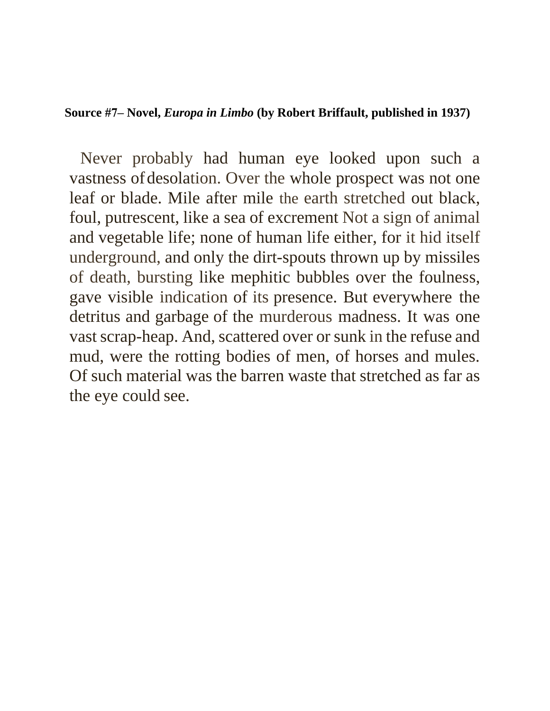## **Source #7– Novel,** *Europa in Limbo* **(by Robert Briffault, published in 1937)**

Never probably had human eye looked upon such a vastness of desolation. Over the whole prospect was not one leaf or blade. Mile after mile the earth stretched out black, foul, putrescent, like a sea of excrement Not a sign of animal and vegetable life; none of human life either, for it hid itself underground, and only the dirt-spouts thrown up by missiles of death, bursting like mephitic bubbles over the foulness, gave visible indication of its presence. But everywhere the detritus and garbage of the murderous madness. It was one vast scrap-heap. And, scattered over or sunk in the refuse and mud, were the rotting bodies of men, of horses and mules. Of such material was the barren waste that stretched as far as the eye could see.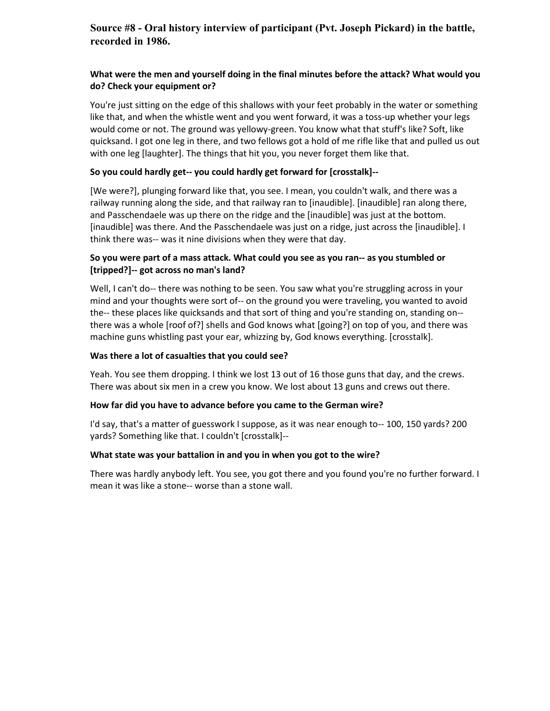## **Source #8 - Oral history interview of participant (Pvt. Joseph Pickard) in the battle, recorded in 1986.**

#### **What were the men and yourself doing in the final minutes before the attack? What would you do? Check your equipment or?**

You're just sitting on the edge of this shallows with your feet probably in the water or something like that, and when the whistle went and you went forward, it was a toss-up whether your legs would come or not. The ground was yellowy-green. You know what that stuff's like? Soft, like quicksand. I got one leg in there, and two fellows got a hold of me rifle like that and pulled us out with one leg [laughter]. The things that hit you, you never forget them like that.

#### **So you could hardly get-- you could hardly get forward for [crosstalk]--**

[We were?], plunging forward like that, you see. I mean, you couldn't walk, and there was a railway running along the side, and that railway ran to [inaudible]. [inaudible] ran along there, and Passchendaele was up there on the ridge and the [inaudible] was just at the bottom. [inaudible] was there. And the Passchendaele was just on a ridge, just across the [inaudible]. I think there was-- was it nine divisions when they were that day.

#### **So you were part of a mass attack. What could you see as you ran-- as you stumbled or [tripped?]-- got across no man's land?**

Well, I can't do-- there was nothing to be seen. You saw what you're struggling across in your mind and your thoughts were sort of-- on the ground you were traveling, you wanted to avoid the-- these places like quicksands and that sort of thing and you're standing on, standing on- there was a whole [roof of?] shells and God knows what [going?] on top of you, and there was machine guns whistling past your ear, whizzing by, God knows everything. [crosstalk].

#### **Was there a lot of casualties that you could see?**

Yeah. You see them dropping. I think we lost 13 out of 16 those guns that day, and the crews. There was about six men in a crew you know. We lost about 13 guns and crews out there.

#### **How far did you have to advance before you came to the German wire?**

I'd say, that's a matter of guesswork I suppose, as it was near enough to-- 100, 150 yards? 200 yards? Something like that. I couldn't [crosstalk]--

#### **What state was your battalion in and you in when you got to the wire?**

There was hardly anybody left. You see, you got there and you found you're no further forward. I mean it was like a stone-- worse than a stone wall.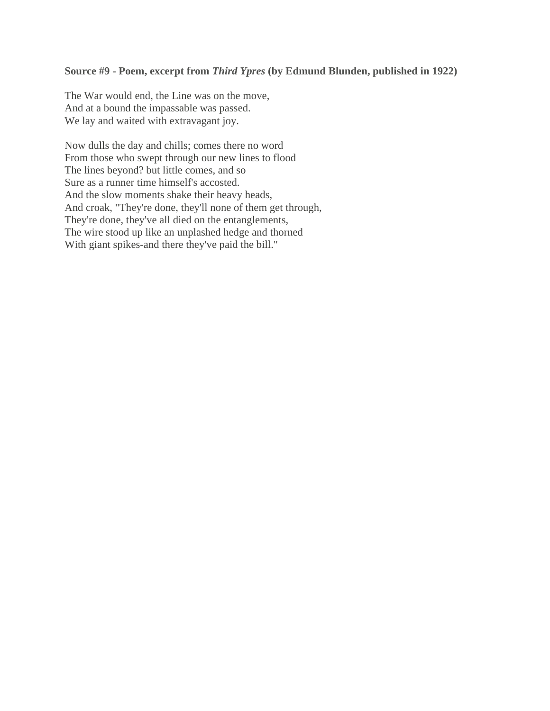## **Source #9 - Poem, excerpt from** *Third Ypres* **(by Edmund Blunden, published in 1922)**

The War would end, the Line was on the move, And at a bound the impassable was passed. We lay and waited with extravagant joy.

Now dulls the day and chills; comes there no word From those who swept through our new lines to flood The lines beyond? but little comes, and so Sure as a runner time himself's accosted. And the slow moments shake their heavy heads, And croak, "They're done, they'll none of them get through, They're done, they've all died on the entanglements, The wire stood up like an unplashed hedge and thorned With giant spikes-and there they've paid the bill."